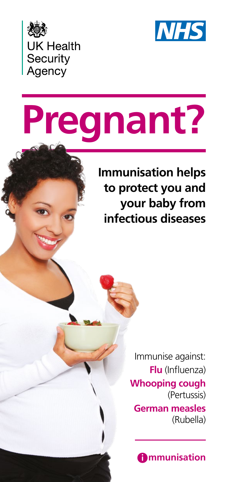



# **Pregnant?**

**Immunisation helps to protect you and your baby from infectious diseases**

> Immunise against: **Flu** (Infuenza) **Whooping cough** (Pertussis) **German measles** (Rubella)

> > **mmunisation**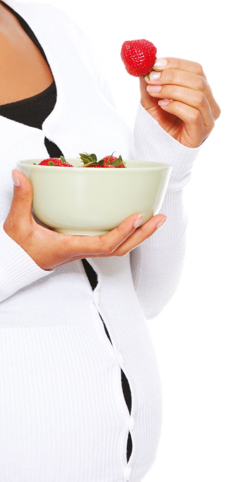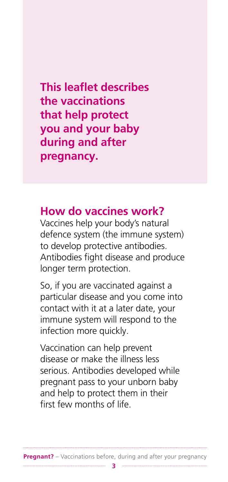**This leaflet describes the vaccinations that help protect you and your baby during and after pregnancy.**

#### **How do vaccines work?**

Vaccines help your body's natural defence system (the immune system) to develop protective antibodies. Antibodies fight disease and produce longer term protection.

So, if you are vaccinated against a particular disease and you come into contact with it at a later date, your immune system will respond to the infection more quickly.

Vaccination can help prevent disease or make the illness less serious. Antibodies developed while pregnant pass to your unborn baby and help to protect them in their first few months of life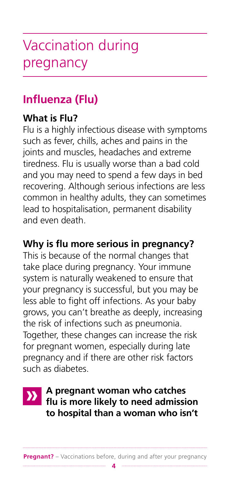# Vaccination during pregnancy

### **Infuenza (Flu)**

#### **What is Flu?**

Flu is a highly infectious disease with symptoms such as fever, chills, aches and pains in the joints and muscles, headaches and extreme tiredness. Flu is usually worse than a bad cold and you may need to spend a few days in bed recovering. Although serious infections are less common in healthy adults, they can sometimes lead to hospitalisation, permanent disability and even death.

#### **Why is fu more serious in pregnancy?**

This is because of the normal changes that take place during pregnancy. Your immune system is naturally weakened to ensure that your pregnancy is successful, but you may be less able to fight off infections. As your baby grows, you can't breathe as deeply, increasing the risk of infections such as pneumonia. Together, these changes can increase the risk for pregnant women, especially during late pregnancy and if there are other risk factors such as diabetes.

#### **A pregnant woman who catches (A)** A pregnant woman who catches flu is more likely to need admission **to hospital than a woman who isn't**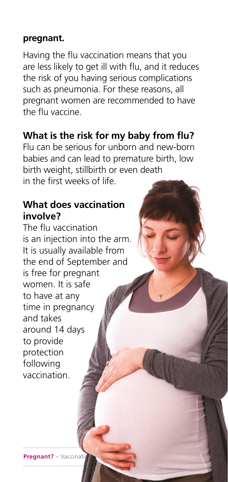#### **pregnant.**

Having the fu vaccination means that you are less likely to get ill with fu, and it reduces the risk of you having serious complications such as pneumonia. For these reasons, all pregnant women are recommended to have the flu vaccine.

#### **What is the risk for my baby from fu?**

Flu can be serious for unborn and new-born babies and can lead to premature birth, low birth weight, stillbirth or even death in the first weeks of life.

#### **What does vaccination involve?**

The flu vaccination is an injection into the arm. It is usually available from the end of September and is free for pregnant women. It is safe to have at any time in pregnancy and takes around 14 days to provide protection following vaccination.

**5**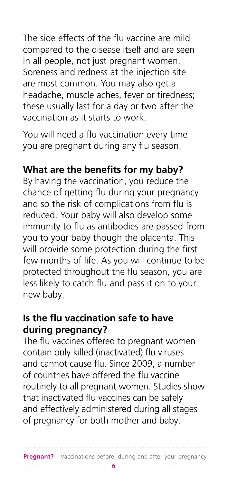The side effects of the fu vaccine are mild compared to the disease itself and are seen in all people, not just pregnant women. Soreness and redness at the injection site are most common. You may also get a headache, muscle aches, fever or tiredness; these usually last for a day or two after the vaccination as it starts to work.

You will need a flu vaccination every time you are pregnant during any flu season.

#### **What are the benefits for my baby?**

By having the vaccination, you reduce the chance of getting fu during your pregnancy and so the risk of complications from flu is reduced. Your baby will also develop some immunity to flu as antibodies are passed from you to your baby though the placenta. This will provide some protection during the first few months of life. As you will continue to be protected throughout the flu season, you are less likely to catch flu and pass it on to your new baby.

#### **Is the fu vaccination safe to have during pregnancy?**

The flu vaccines offered to pregnant women contain only killed (inactivated) flu viruses and cannot cause fu. Since 2009, a number of countries have offered the fu vaccine routinely to all pregnant women. Studies show that inactivated flu vaccines can be safely and effectively administered during all stages of pregnancy for both mother and baby.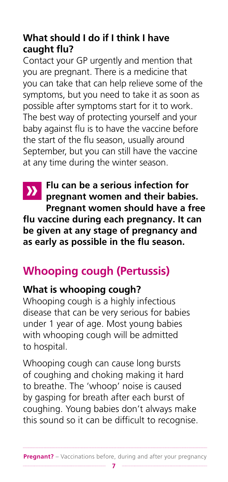#### **What should I do if I think I have caught fu?**

Contact your GP urgently and mention that you are pregnant. There is a medicine that you can take that can help relieve some of the symptoms, but you need to take it as soon as possible after symptoms start for it to work. The best way of protecting yourself and your baby against flu is to have the vaccine before the start of the flu season, usually around September, but you can still have the vaccine at any time during the winter season.

**Flu can be a serious infection for b)** Flu can be a serious infection for pregnant women and their babies. **Pregnant women should have a free fu vaccine during each pregnancy. It can be given at any stage of pregnancy and as early as possible in the fu season.**

## **Whooping cough (Pertussis)**

#### **What is whooping cough?**

Whooping cough is a highly infectious disease that can be very serious for babies under 1 year of age. Most young babies with whooping cough will be admitted to hospital.

Whooping cough can cause long bursts of coughing and choking making it hard to breathe. The 'whoop' noise is caused by gasping for breath after each burst of coughing. Young babies don't always make this sound so it can be difficult to recognise.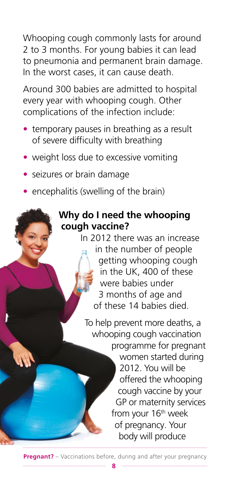Whooping cough commonly lasts for around 2 to 3 months. For young babies it can lead to pneumonia and permanent brain damage. In the worst cases, it can cause death.

Around 300 babies are admitted to hospital every year with whooping cough. Other complications of the infection include:

- temporary pauses in breathing as a result of severe difficulty with breathing
- weight loss due to excessive vomiting
- seizures or brain damage
- encephalitis (swelling of the brain)

#### **Why do I need the whooping cough vaccine?**

In 2012 there was an increase in the number of people getting whooping cough in the UK, 400 of these were babies under 3 months of age and of these 14 babies died.

To help prevent more deaths, a whooping cough vaccination programme for pregnant women started during 2012. You will be offered the whooping cough vaccine by your GP or maternity services from your 16<sup>th</sup> week of pregnancy. Your body will produce

**Pregnant?** – Vaccinations before, during and after your pregnancy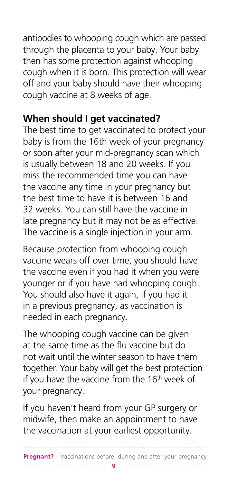antibodies to whooping cough which are passed through the placenta to your baby. Your baby then has some protection against whooping cough when it is born. This protection will wear off and your baby should have their whooping cough vaccine at 8 weeks of age.

#### **When should I get vaccinated?**

The best time to get vaccinated to protect your baby is from the 16th week of your pregnancy or soon after your mid-pregnancy scan which is usually between 18 and 20 weeks. If you miss the recommended time you can have the vaccine any time in your pregnancy but the best time to have it is between 16 and 32 weeks. You can still have the vaccine in late pregnancy but it may not be as effective. The vaccine is a single injection in your arm.

Because protection from whooping cough vaccine wears off over time, you should have the vaccine even if you had it when you were younger or if you have had whooping cough. You should also have it again, if you had it in a previous pregnancy, as vaccination is needed in each pregnancy.

The whooping cough vaccine can be given at the same time as the fu vaccine but do not wait until the winter season to have them together. Your baby will get the best protection if you have the vaccine from the 16<sup>th</sup> week of your pregnancy.

If you haven't heard from your GP surgery or midwife, then make an appointment to have the vaccination at your earliest opportunity.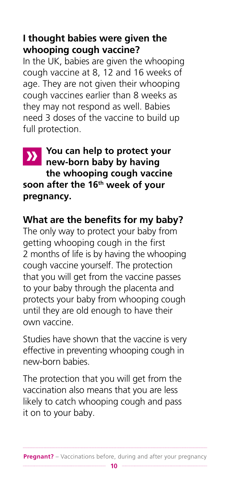#### **I thought babies were given the whooping cough vaccine?**

In the UK, babies are given the whooping cough vaccine at 8, 12 and 16 weeks of age. They are not given their whooping cough vaccines earlier than 8 weeks as they may not respond as well. Babies need 3 doses of the vaccine to build up full protection.

#### **You can help to protect your >>** You can help to protect yo new-born baby by having **the whooping cough vaccine soon after the 16th week of your pregnancy.**

#### **What are the benefits for my baby?**

The only way to protect your baby from getting whooping cough in the first 2 months of life is by having the whooping cough vaccine yourself. The protection that you will get from the vaccine passes to your baby through the placenta and protects your baby from whooping cough until they are old enough to have their own vaccine.

Studies have shown that the vaccine is very effective in preventing whooping cough in new-born babies.

The protection that you will get from the vaccination also means that you are less likely to catch whooping cough and pass it on to your baby.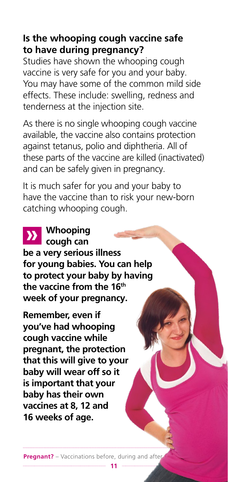#### **Is the whooping cough vaccine safe to have during pregnancy?**

Studies have shown the whooping cough vaccine is very safe for you and your baby. You may have some of the common mild side effects. These include: swelling, redness and tenderness at the injection site.

As there is no single whooping cough vaccine available, the vaccine also contains protection against tetanus, polio and diphtheria. All of these parts of the vaccine are killed (inactivated) and can be safely given in pregnancy.

It is much safer for you and your baby to have the vaccine than to risk your new-born catching whooping cough.

**Whooping cough can be a very serious illness for young babies. You can help to protect your baby by having the vaccine from the 16th week of your pregnancy. »**

**Remember, even if you've had whooping cough vaccine while pregnant, the protection that this will give to your baby will wear off so it is important that your baby has their own vaccines at 8, 12 and 16 weeks of age.** 

**Pregnant?** – Vaccinations before, during and after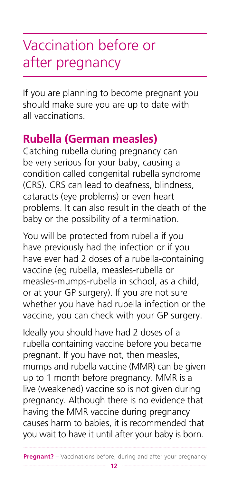## Vaccination before or after pregnancy

If you are planning to become pregnant you should make sure you are up to date with all vaccinations.

#### **Rubella (German measles)**

Catching rubella during pregnancy can be very serious for your baby, causing a condition called congenital rubella syndrome (CRS). CRS can lead to deafness, blindness, cataracts (eye problems) or even heart problems. It can also result in the death of the baby or the possibility of a termination.

You will be protected from rubella if you have previously had the infection or if you have ever had 2 doses of a rubella-containing vaccine (eg rubella, measles-rubella or measles-mumps-rubella in school, as a child, or at your GP surgery). If you are not sure whether you have had rubella infection or the vaccine, you can check with your GP surgery.

Ideally you should have had 2 doses of a rubella containing vaccine before you became pregnant. If you have not, then measles, mumps and rubella vaccine (MMR) can be given up to 1 month before pregnancy. MMR is a live (weakened) vaccine so is not given during pregnancy. Although there is no evidence that having the MMR vaccine during pregnancy causes harm to babies, it is recommended that you wait to have it until after your baby is born.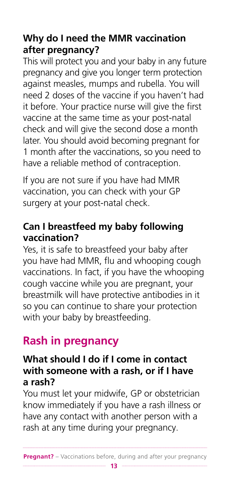#### **Why do I need the MMR vaccination after pregnancy?**

This will protect you and your baby in any future pregnancy and give you longer term protection against measles, mumps and rubella. You will need 2 doses of the vaccine if you haven't had it before. Your practice nurse will give the first vaccine at the same time as your post-natal check and will give the second dose a month later. You should avoid becoming pregnant for 1 month after the vaccinations, so you need to have a reliable method of contraception.

If you are not sure if you have had MMR vaccination, you can check with your GP surgery at your post-natal check.

#### **Can I breastfeed my baby following vaccination?**

Yes, it is safe to breastfeed your baby after you have had MMR, flu and whooping cough vaccinations. In fact, if you have the whooping cough vaccine while you are pregnant, your breastmilk will have protective antibodies in it so you can continue to share your protection with your baby by breastfeeding.

## **Rash in pregnancy**

#### **What should I do if I come in contact with someone with a rash, or if I have a rash?**

You must let your midwife, GP or obstetrician know immediately if you have a rash illness or have any contact with another person with a rash at any time during your pregnancy.

**Pregnant?** – Vaccinations before, during and after your pregnancy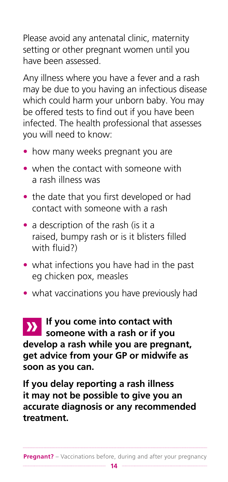Please avoid any antenatal clinic, maternity setting or other pregnant women until you have been assessed.

Any illness where you have a fever and a rash may be due to you having an infectious disease which could harm your unborn baby. You may be offered tests to find out if you have been infected. The health professional that assesses you will need to know:

- how many weeks pregnant you are
- when the contact with someone with a rash illness was
- the date that you first developed or had contact with someone with a rash
- a description of the rash (is it a raised, bumpy rash or is it blisters filled with fluid?)
- what infections you have had in the past eg chicken pox, measles
- what vaccinations you have previously had

**If you come into contact with Someone into contact with someone with a rash or if you develop a rash while you are pregnant, get advice from your GP or midwife as soon as you can.**

**If you delay reporting a rash illness it may not be possible to give you an accurate diagnosis or any recommended treatment.**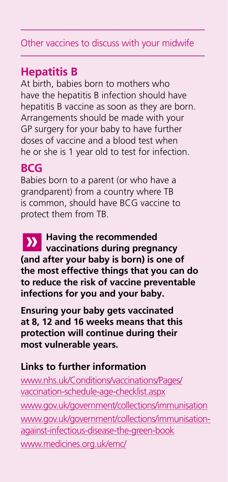#### Other vaccines to discuss with your midwife

#### **Hepatitis B**

At birth, babies born to mothers who have the hepatitis B infection should have hepatitis B vaccine as soon as they are born. Arrangements should be made with your GP surgery for your baby to have further doses of vaccine and a blood test when he or she is 1 year old to test for infection.

#### **BCG**

Babies born to a parent (or who have a grandparent) from a country where TB is common, should have BCG vaccine to protect them from TB.

**X** Having the recommended vaccinations during pregnal **vaccinations during pregnancy (and after your baby is born) is one of the most effective things that you can do to reduce the risk of vaccine preventable infections for you and your baby.** 

**Ensuring your baby gets vaccinated at 8, 12 and 16 weeks means that this protection will continue during their most vulnerable years.** 

#### **Links to further information**

[www.nhs.uk/Conditions/vaccinations/Pages/](http://www.nhs.uk/Conditions/vaccinations/Pages/vaccination-schedule-age-checklist.aspx) [vaccination-schedule-age-checklist.aspx](http://www.nhs.uk/Conditions/vaccinations/Pages/vaccination-schedule-age-checklist.aspx) [www.gov.uk/government/collections/immunisation](https://www.gov.uk/government/collections/immunisation) [www.gov.uk/government/collections/immunisation](https://www.gov.uk/government/collections/immunisation-against-infectious-disease-the-green-book)[against-infectious-disease-the-green-book](https://www.gov.uk/government/collections/immunisation-against-infectious-disease-the-green-book) [www.medicines.org.uk/emc/](https://www.medicines.org.uk/emc/)